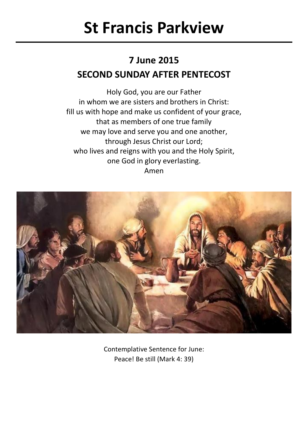# **St Francis Parkview**

## **7 June 2015 SECOND SUNDAY AFTER PENTECOST**

Holy God, you are our Father in whom we are sisters and brothers in Christ: fill us with hope and make us confident of your grace, that as members of one true family we may love and serve you and one another, through Jesus Christ our Lord; who lives and reigns with you and the Holy Spirit, one God in glory everlasting. Amen



Contemplative Sentence for June: Peace! Be still (Mark 4: 39)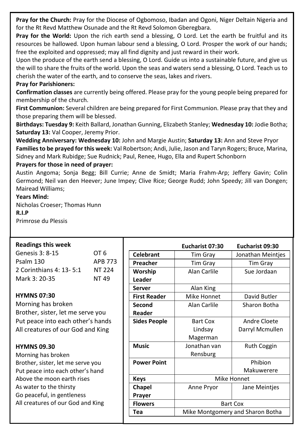**Pray for the Church:** Pray for the Diocese of Ogbomoso, Ibadan and Ogoni, Niger Deltain Nigeria and for the Rt Revd Matthew Osunade and the Rt Revd Solomon Gberegbara.

**Pray for the World:** Upon the rich earth send a blessing, O Lord. Let the earth be fruitful and its resources be hallowed. Upon human labour send a blessing, O Lord. Prosper the work of our hands; free the exploited and oppressed; may all find dignity and just reward in their work.

Upon the produce of the earth send a blessing, O Lord. Guide us into a sustainable future, and give us the will to share the fruits of the world. Upon the seas and waters send a blessing, O Lord. Teach us to cherish the water of the earth, and to conserve the seas, lakes and rivers.

#### **Pray for Parishioners:**

**Confirmation classes** are currently being offered. Please pray for the young people being prepared for membership of the church.

**First Communion:** Several children are being prepared for First Communion. Please pray that they and those preparing them will be blessed.

**Birthdays: Tuesday 9:** Keith Ballard, Jonathan Gunning, Elizabeth Stanley; **Wednesday 10:** Jodie Botha; **Saturday 13:** Val Cooper, Jeremy Prior.

**Wedding Anniversary: Wednesday 10:** John and Margie Austin; **Saturday 13:** Ann and Steve Pryor **Families to be prayed for this week:** Val Robertson: Andi, Julie, Jason and Taryn Rogers: Bruce, Marina, Sidney and Mark Rubidge; Sue Rudnick; Paul, Renee, Hugo, Ella and Rupert Schonborn

#### **Prayers for those in need of prayer:**

Austin Angoma; Sonja Begg; Bill Currie; Anne de Smidt; Maria Frahm-Arp; Jeffery Gavin; Colin Germond; Neil van den Heever; June Impey; Clive Rice; George Rudd; John Speedy; Jill van Dongen; Mairead Williams;

#### **Years Mind:**

Nicholas Croeser; Thomas Hunn **R.I.P** Primrose du Plessis

#### **Readings this week**

| <b>Readings this week</b>         |                |                     | Eucharist 07:30 | Eucharist 09:30                  |
|-----------------------------------|----------------|---------------------|-----------------|----------------------------------|
| Genesis 3: 8-15                   | OT 6           | <b>Celebrant</b>    | Tim Gray        | Jonathan Meinties                |
| Psalm 130                         | <b>APB 773</b> | Preacher            | Tim Gray        | Tim Gray                         |
| 2 Corinthians 4: 13-5:1           | NT 224         | Worship             | Alan Carlile    | Sue Jordaan                      |
| Mark 3: 20-35                     | NT 49          | Leader              |                 |                                  |
|                                   |                | <b>Server</b>       | Alan King       |                                  |
| <b>HYMNS 07:30</b>                |                | <b>First Reader</b> | Mike Honnet     | David Butler                     |
| Morning has broken                |                | Second              | Alan Carlile    | Sharon Botha                     |
| Brother, sister, let me serve you |                | Reader              |                 |                                  |
| Put peace into each other's hands |                | <b>Sides People</b> | Bart Cox        | Andre Cloete                     |
| All creatures of our God and King |                |                     | Lindsay         | Darryl Mcmullen                  |
|                                   |                |                     | Magerman        |                                  |
| <b>HYMNS 09.30</b>                |                | <b>Music</b>        | Jonathan van    | <b>Ruth Coggin</b>               |
| Morning has broken                |                |                     | Rensburg        |                                  |
| Brother, sister, let me serve you |                | <b>Power Point</b>  |                 | Phibion                          |
| Put peace into each other's hand  |                |                     |                 | Makuwerere                       |
| Above the moon earth rises        |                | <b>Keys</b>         | Mike Honnet     |                                  |
| As water to the thirsty           |                | Chapel              | Anne Pryor      | Jane Meintjes                    |
| Go peaceful, in gentleness        |                | Prayer              |                 |                                  |
| All creatures of our God and King |                | <b>Flowers</b>      | <b>Bart Cox</b> |                                  |
|                                   |                | Tea                 |                 | Mike Montgomery and Sharon Botha |
|                                   |                |                     |                 |                                  |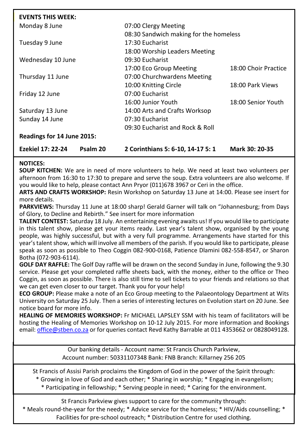| Ezekiel 17: 22-24          | Psalm 20 | 2 Corinthians 5: 6-10, 14-17 5: 1      | Mark 30: 20-35       |
|----------------------------|----------|----------------------------------------|----------------------|
| Readings for 14 June 2015: |          |                                        |                      |
|                            |          | 09:30 Eucharist and Rock & Roll        |                      |
| Sunday 14 June             |          | 07:30 Eucharist                        |                      |
| Saturday 13 June           |          | 14:00 Arts and Crafts Worksop          |                      |
|                            |          | 16:00 Junior Youth                     | 18:00 Senior Youth   |
| Friday 12 June             |          | 07:00 Eucharist                        |                      |
|                            |          | 10:00 Knitting Circle                  | 18:00 Park Views     |
| Thursday 11 June           |          | 07:00 Churchwardens Meeting            |                      |
|                            |          | 17:00 Eco Group Meeting                | 18:00 Choir Practice |
| Wednesday 10 June          |          | 09:30 Eucharist                        |                      |
|                            |          | 18:00 Worship Leaders Meeting          |                      |
| Tuesday 9 June             |          | 17:30 Eucharist                        |                      |
|                            |          | 08:30 Sandwich making for the homeless |                      |
| Monday 8 June              |          | 07:00 Clergy Meeting                   |                      |
| <b>EVENTS THIS WEEK:</b>   |          |                                        |                      |

### **NOTICES:**

**SOUP KITCHEN:** We are in need of more volunteers to help. We need at least two volunteers per afternoon from 16:30 to 17:30 to prepare and serve the soup. Extra volunteers are also welcome. If you would like to help, please contact Ann Pryor (011)678 3967 or Ceri in the office.

**ARTS AND CRAFTS WORKSHOP:** Resin Workshop on Saturday 13 June at 14:00. Please see insert for more details.

**PARKVIEWS:** Thursday 11 June at 18:00 sharp! Gerald Garner will talk on "Johannesburg; from Days of Glory, to Decline and Rebirth." See insert for more information

**TALENT CONTEST:** Saturday 18 July. An entertaining evening awaits us! If you would like to participate in this talent show, please get your items ready. Last year's talent show, organised by the young people, was highly successful, but with a very full programme. Arrangements have started for this year's talent show, which will involve all members of the parish. If you would like to participate, please speak as soon as possible to Theo Coggin 082-900-0168, Patience Dlamini 082-558-8547, or Sharon Botha (072-903-6114).

**GOLF DAY RAFFLE:** The Golf Day raffle will be drawn on the second Sunday in June, following the 9.30 service. Please get your completed raffle sheets back, with the money, either to the office or Theo Coggin, as soon as possible. There is also still time to sell tickets to your friends and relations so that we can get even closer to our target. Thank you for your help!

**ECO GROUP:** Please make a note of an Eco Group meeting to the Palaeontology Department at Wits University on Saturday 25 July. Then a series of interesting lectures on Evolution start on 20 June. See notice board for more info.

**HEALING OF MEMORIES WORKSHOP:** Fr MICHAEL LAPSLEY SSM with his team of facilitators will be hosting the Healing of Memories Workshop on 10-12 July 2015. For more information and Bookings email: [office@stben.co.za](mailto:office@stben.co.za) or for queries contact Revd Kathy Barrable at 011 4353662 or 0828049128.

> Our banking details - Account name: St Francis Church Parkview, Account number: 50331107348 Bank: FNB Branch: Killarney 256 205

St Francis of Assisi Parish proclaims the Kingdom of God in the power of the Spirit through:

\* Growing in love of God and each other; \* Sharing in worship; \* Engaging in evangelism;

\* Participating in fellowship; \* Serving people in need; \* Caring for the environment.

St Francis Parkview gives support to care for the community through: \* Meals round-the-year for the needy; \* Advice service for the homeless; \* HIV/Aids counselling; \* Facilities for pre-school outreach; \* Distribution Centre for used clothing.